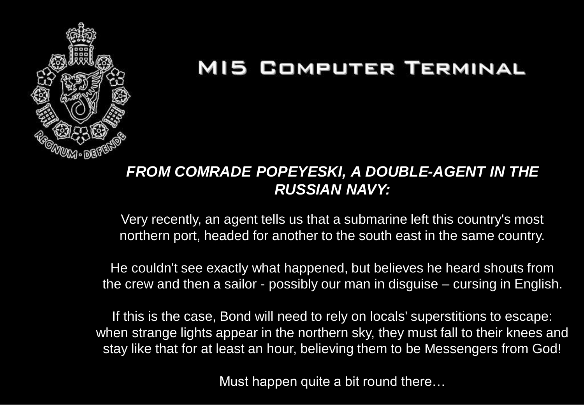

#### *FROM COMRADE POPEYESKI, A DOUBLE-AGENT IN THE RUSSIAN NAVY:*

Very recently, an agent tells us that a submarine left this country's most northern port, headed for another to the south east in the same country.

He couldn't see exactly what happened, but believes he heard shouts from the crew and then a sailor - possibly our man in disguise – cursing in English.

If this is the case, Bond will need to rely on locals' superstitions to escape: when strange lights appear in the northern sky, they must fall to their knees and stay like that for at least an hour, believing them to be Messengers from God!

Must happen quite a bit round there…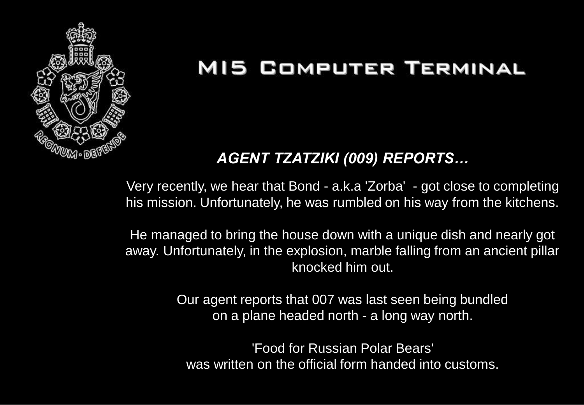

#### *AGENT TZATZIKI (009) REPORTS…*

Very recently, we hear that Bond - a.k.a 'Zorba' - got close to completing his mission. Unfortunately, he was rumbled on his way from the kitchens.

He managed to bring the house down with a unique dish and nearly got away. Unfortunately, in the explosion, marble falling from an ancient pillar knocked him out.

> Our agent reports that 007 was last seen being bundled on a plane headed north - a long way north.

'Food for Russian Polar Bears' was written on the official form handed into customs.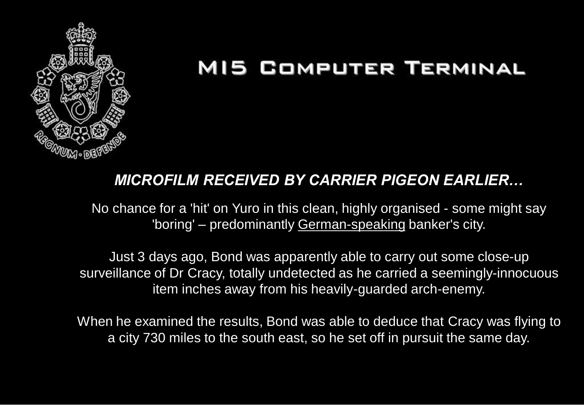

#### *MICROFILM RECEIVED BY CARRIER PIGEON EARLIER…*

No chance for a 'hit' on Yuro in this clean, highly organised - some might say 'boring' – predominantly German-speaking banker's city.

Just 3 days ago, Bond was apparently able to carry out some close-up surveillance of Dr Cracy, totally undetected as he carried a seemingly-innocuous item inches away from his heavily-guarded arch-enemy.

When he examined the results, Bond was able to deduce that Cracy was flying to a city 730 miles to the south east, so he set off in pursuit the same day.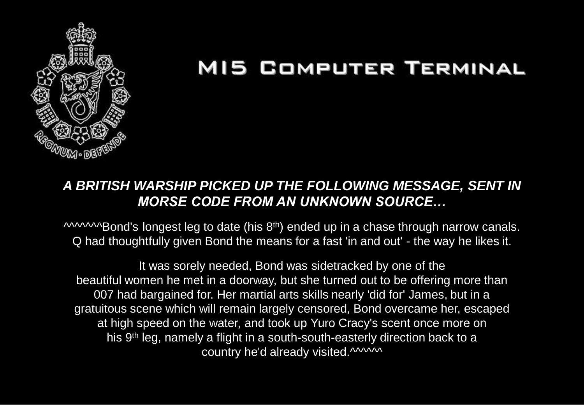

#### *A BRITISH WARSHIP PICKED UP THE FOLLOWING MESSAGE, SENT IN MORSE CODE FROM AN UNKNOWN SOURCE…*

**MAMABond's longest leg to date (his 8th) ended up in a chase through narrow canals.** Q had thoughtfully given Bond the means for a fast 'in and out' - the way he likes it.

It was sorely needed, Bond was sidetracked by one of the beautiful women he met in a doorway, but she turned out to be offering more than 007 had bargained for. Her martial arts skills nearly 'did for' James, but in a gratuitous scene which will remain largely censored, Bond overcame her, escaped at high speed on the water, and took up Yuro Cracy's scent once more on his 9th leg, namely a flight in a south-south-easterly direction back to a country he'd already visited.^^^^^^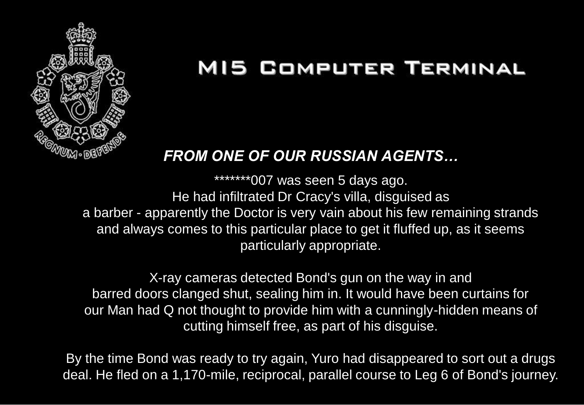

#### *FROM ONE OF OUR RUSSIAN AGENTS…*

\*\*\*\*\*\*\*007 was seen 5 days ago. He had infiltrated Dr Cracy's villa, disguised as a barber - apparently the Doctor is very vain about his few remaining strands and always comes to this particular place to get it fluffed up, as it seems particularly appropriate.

X-ray cameras detected Bond's gun on the way in and barred doors clanged shut, sealing him in. It would have been curtains for our Man had Q not thought to provide him with a cunningly-hidden means of cutting himself free, as part of his disguise.

By the time Bond was ready to try again, Yuro had disappeared to sort out a drugs deal. He fled on a 1,170-mile, reciprocal, parallel course to Leg 6 of Bond's journey.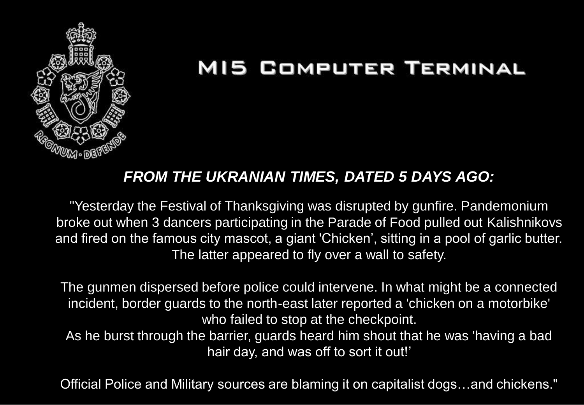

#### *FROM THE UKRANIAN TIMES, DATED 5 DAYS AGO:*

"Yesterday the Festival of Thanksgiving was disrupted by gunfire. Pandemonium broke out when 3 dancers participating in the Parade of Food pulled out Kalishnikovs and fired on the famous city mascot, a giant 'Chicken', sitting in a pool of garlic butter. The latter appeared to fly over a wall to safety.

The gunmen dispersed before police could intervene. In what might be a connected incident, border guards to the north-east later reported a 'chicken on a motorbike' who failed to stop at the checkpoint.

As he burst through the barrier, guards heard him shout that he was 'having a bad hair day, and was off to sort it out!'

Official Police and Military sources are blaming it on capitalist dogs…and chickens."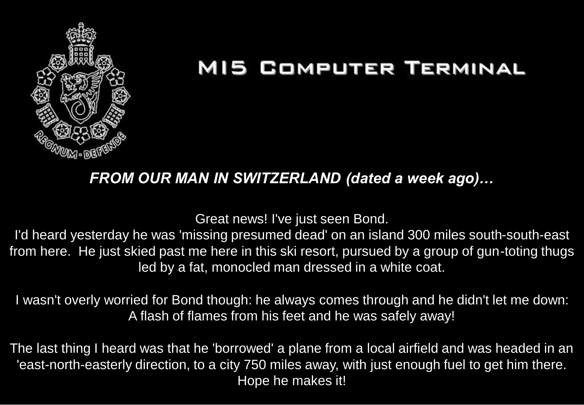

#### *FROM OUR MAN IN SWITZERLAND (dated a week ago)…*

Great news! I've just seen Bond.

I'd heard yesterday he was 'missing presumed dead' on an island 300 miles south-south-east from here. He just skied past me here in this ski resort, pursued by a group of gun-toting thugs led by a fat, monocled man dressed in a white coat.

I wasn't overly worried for Bond though: he always comes through and he didn't let me down: A flash of flames from his feet and he was safely away!

The last thing I heard was that he 'borrowed' a plane from a local airfield and was headed in an 'east-north-easterly direction, to a city 750 miles away, with just enough fuel to get him there. Hope he makes it!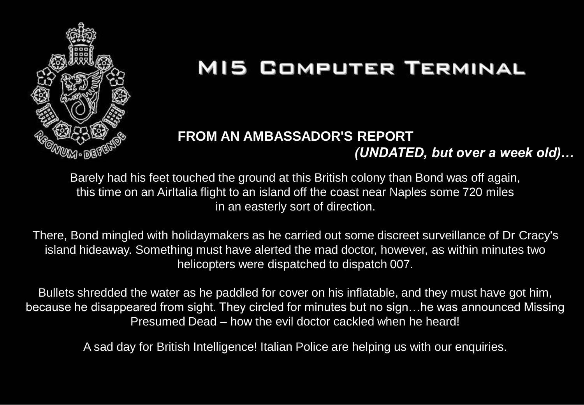

#### **FROM AN AMBASSADOR'S REPORT**  *(UNDATED, but over a week old)…*

Barely had his feet touched the ground at this British colony than Bond was off again, this time on an AirItalia flight to an island off the coast near Naples some 720 miles in an easterly sort of direction.

There, Bond mingled with holidaymakers as he carried out some discreet surveillance of Dr Cracy's island hideaway. Something must have alerted the mad doctor, however, as within minutes two helicopters were dispatched to dispatch 007.

Bullets shredded the water as he paddled for cover on his inflatable, and they must have got him, because he disappeared from sight. They circled for minutes but no sign…he was announced Missing Presumed Dead – how the evil doctor cackled when he heard!

A sad day for British Intelligence! Italian Police are helping us with our enquiries.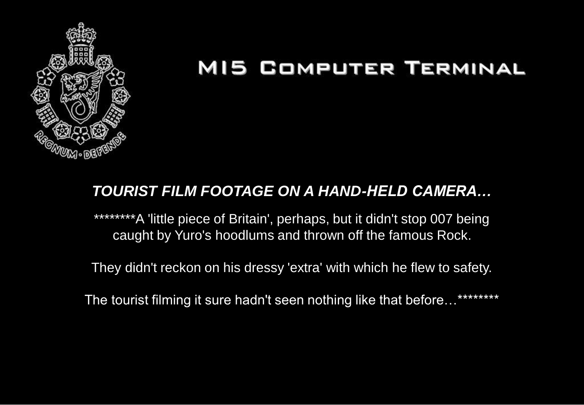

#### *TOURIST FILM FOOTAGE ON A HAND-HELD CAMERA…*

\*\*\*\*\*\*\*\*A 'little piece of Britain', perhaps, but it didn't stop 007 being caught by Yuro's hoodlums and thrown off the famous Rock.

They didn't reckon on his dressy 'extra' with which he flew to safety.

The tourist filming it sure hadn't seen nothing like that before...\*\*\*\*\*\*\*\*\*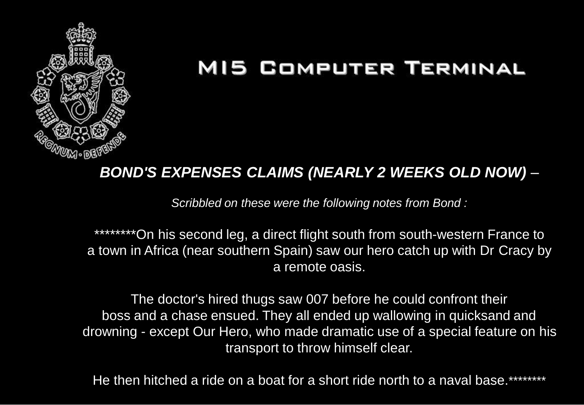

#### *BOND'S EXPENSES CLAIMS (NEARLY 2 WEEKS OLD NOW) –*

*Scribbled on these were the following notes from Bond :*

\*\*\*\*\*\*\*\*On his second leg, a direct flight south from south-western France to a town in Africa (near southern Spain) saw our hero catch up with Dr Cracy by a remote oasis.

The doctor's hired thugs saw 007 before he could confront their boss and a chase ensued. They all ended up wallowing in quicksand and drowning - except Our Hero, who made dramatic use of a special feature on his transport to throw himself clear.

He then hitched a ride on a boat for a short ride north to a naval base.\*\*\*\*\*\*\*\*\*